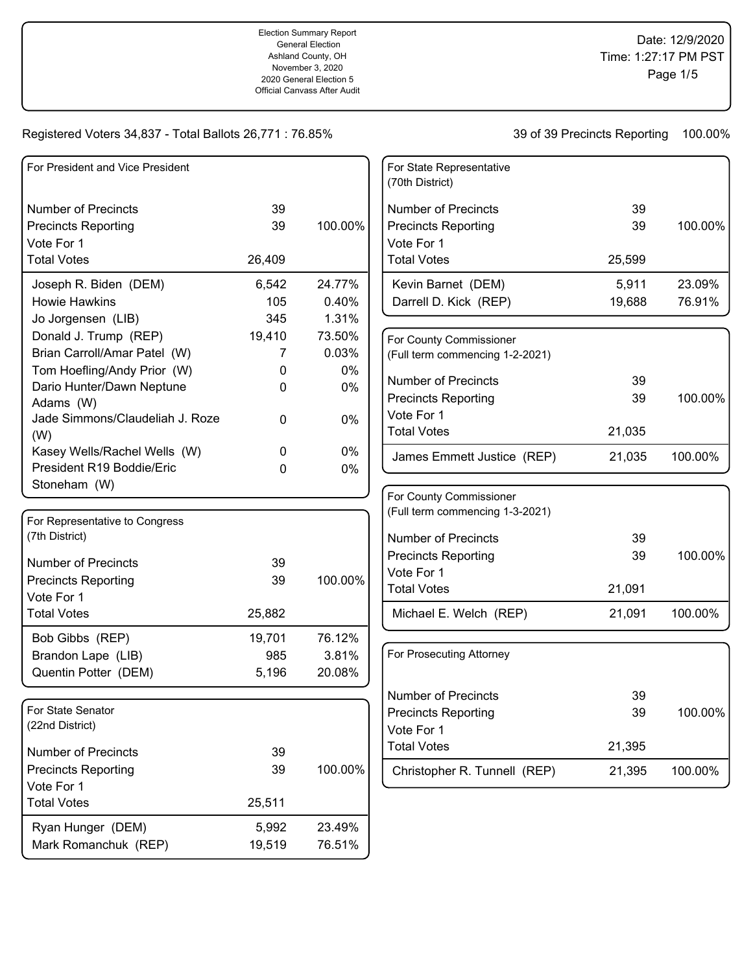| For President and Vice President                          |                 |                  |
|-----------------------------------------------------------|-----------------|------------------|
|                                                           |                 |                  |
| <b>Number of Precincts</b>                                | 39<br>39        | 100.00%          |
| <b>Precincts Reporting</b><br>Vote For 1                  |                 |                  |
| <b>Total Votes</b>                                        | 26,409          |                  |
|                                                           |                 |                  |
| Joseph R. Biden (DEM)                                     | 6,542           | 24.77%           |
| <b>Howie Hawkins</b>                                      | 105             | 0.40%            |
| Jo Jorgensen (LIB)                                        | 345             | 1.31%            |
| Donald J. Trump (REP)                                     | 19,410          | 73.50%           |
| Brian Carroll/Amar Patel (W)                              | 7               | 0.03%            |
| Tom Hoefling/Andy Prior (W)                               | 0               | $0\%$            |
| Dario Hunter/Dawn Neptune                                 | 0               | 0%               |
| Adams (W)                                                 |                 |                  |
| Jade Simmons/Claudeliah J. Roze                           | 0               | 0%               |
| (W)                                                       |                 |                  |
| Kasey Wells/Rachel Wells (W)<br>President R19 Boddie/Eric | 0               | $0\%$            |
|                                                           | 0               | 0%               |
| Stoneham (W)                                              |                 |                  |
| For Representative to Congress                            |                 |                  |
| (7th District)                                            |                 |                  |
|                                                           |                 |                  |
| <b>Number of Precincts</b>                                | 39              |                  |
| <b>Precincts Reporting</b>                                | 39              | 100.00%          |
| Vote For 1                                                |                 |                  |
| <b>Total Votes</b>                                        | 25,882          |                  |
| Bob Gibbs (REP)                                           | 19,701          | 76.12%           |
| Brandon Lape (LIB)                                        | 985             | 3.81%            |
| Quentin Potter (DEM)                                      | 5,196           | 20.08%           |
|                                                           |                 |                  |
| For State Senator                                         |                 |                  |
| (22nd District)                                           |                 |                  |
| <b>Number of Precincts</b>                                | 39              |                  |
| <b>Precincts Reporting</b>                                | 39              | 100.00%          |
| Vote For 1                                                |                 |                  |
| <b>Total Votes</b>                                        | 25,511          |                  |
|                                                           |                 |                  |
|                                                           |                 |                  |
| Ryan Hunger (DEM)<br>Mark Romanchuk (REP)                 | 5,992<br>19,519 | 23.49%<br>76.51% |

| For State Representative<br>(70th District) |        |         |
|---------------------------------------------|--------|---------|
| <b>Number of Precincts</b>                  | 39     |         |
| <b>Precincts Reporting</b>                  | 39     | 100.00% |
| Vote For 1                                  |        |         |
| <b>Total Votes</b>                          | 25,599 |         |
| Kevin Barnet (DEM)                          | 5,911  | 23.09%  |
| Darrell D. Kick (REP)                       | 19,688 | 76.91%  |
|                                             |        |         |

| For County Commissioner<br>(Full term commencing 1-2-2021) |        |         |
|------------------------------------------------------------|--------|---------|
| Number of Precincts                                        | 39     |         |
| <b>Precincts Reporting</b>                                 | 39     | 100.00% |
| Vote For 1                                                 |        |         |
| <b>Total Votes</b>                                         | 21,035 |         |
| James Emmett Justice (REP)                                 | 21,035 | 100.00% |

| For County Commissioner<br>(Full term commencing 1-3-2021) |        |         |
|------------------------------------------------------------|--------|---------|
| Number of Precincts                                        | 39     |         |
| <b>Precincts Reporting</b>                                 | 39     | 100.00% |
| Vote For 1                                                 |        |         |
| <b>Total Votes</b>                                         | 21,091 |         |
| Michael E. Welch (REP)                                     | 21,091 | 100.00% |

| For Prosecuting Attorney     |        |            |
|------------------------------|--------|------------|
| Number of Precincts          | 39     |            |
| <b>Precincts Reporting</b>   | 39     | $100.00\%$ |
| Vote For 1                   |        |            |
| <b>Total Votes</b>           | 21,395 |            |
| Christopher R. Tunnell (REP) | 21,395 | 100.00%    |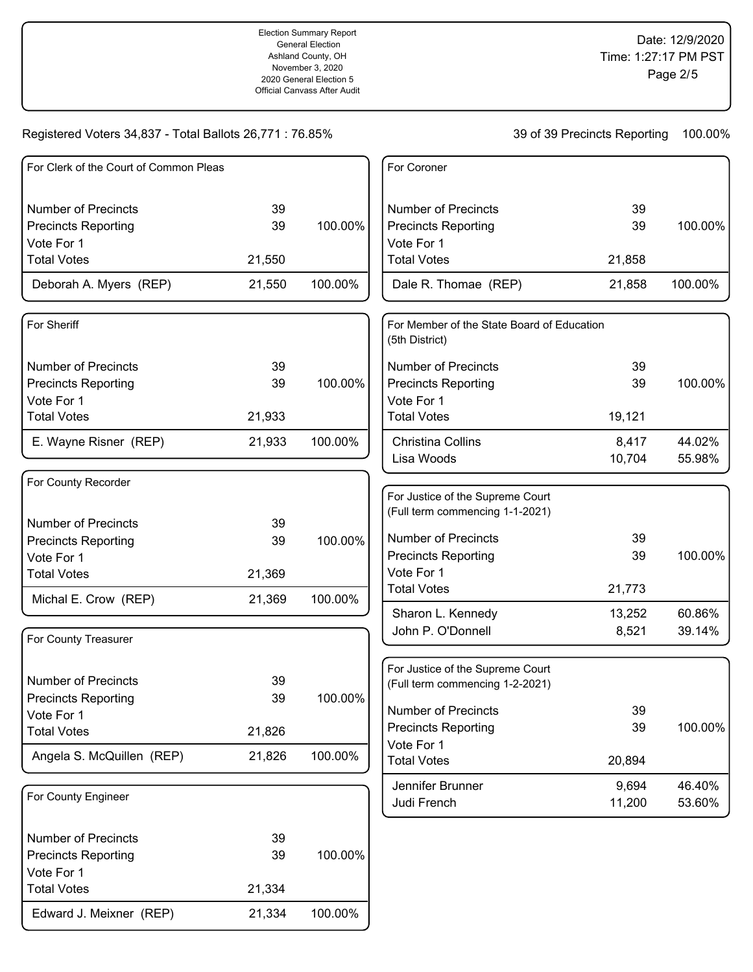| For Clerk of the Court of Common Pleas |        |         | For Coroner                                                  |        |         |
|----------------------------------------|--------|---------|--------------------------------------------------------------|--------|---------|
| <b>Number of Precincts</b>             | 39     |         | <b>Number of Precincts</b>                                   | 39     |         |
| <b>Precincts Reporting</b>             | 39     | 100.00% | <b>Precincts Reporting</b><br>Vote For 1                     | 39     | 100.00% |
| Vote For 1<br><b>Total Votes</b>       | 21,550 |         | <b>Total Votes</b>                                           | 21,858 |         |
| Deborah A. Myers (REP)                 | 21,550 | 100.00% | Dale R. Thomae (REP)                                         | 21,858 | 100.00% |
| For Sheriff                            |        |         | For Member of the State Board of Education<br>(5th District) |        |         |
| <b>Number of Precincts</b>             | 39     |         | <b>Number of Precincts</b>                                   | 39     |         |
| <b>Precincts Reporting</b>             | 39     | 100.00% | <b>Precincts Reporting</b>                                   | 39     | 100.00% |
| Vote For 1                             |        |         | Vote For 1                                                   |        |         |
| <b>Total Votes</b>                     | 21,933 |         | <b>Total Votes</b>                                           | 19,121 |         |
| E. Wayne Risner (REP)                  | 21,933 | 100.00% | Christina Collins                                            | 8,417  | 44.02%  |
|                                        |        |         | Lisa Woods                                                   | 10,704 | 55.98%  |
| For County Recorder                    |        |         |                                                              |        |         |
|                                        |        |         | For Justice of the Supreme Court                             |        |         |
| <b>Number of Precincts</b>             | 39     |         | (Full term commencing 1-1-2021)                              |        |         |
| <b>Precincts Reporting</b>             | 39     | 100.00% | <b>Number of Precincts</b>                                   | 39     |         |
| Vote For 1                             |        |         | <b>Precincts Reporting</b>                                   | 39     | 100.00% |
| <b>Total Votes</b>                     | 21,369 |         | Vote For 1                                                   |        |         |
| Michal E. Crow (REP)                   | 21,369 | 100.00% | <b>Total Votes</b>                                           | 21,773 |         |
|                                        |        |         | Sharon L. Kennedy                                            | 13,252 | 60.86%  |
| For County Treasurer                   |        |         | John P. O'Donnell                                            | 8,521  | 39.14%  |
|                                        |        |         | For Justice of the Supreme Court                             |        |         |
| <b>Number of Precincts</b>             | 39     |         | (Full term commencing 1-2-2021)                              |        |         |
| <b>Precincts Reporting</b>             | 39     | 100.00% | <b>Number of Precincts</b>                                   | 39     |         |
| Vote For 1                             |        |         | <b>Precincts Reporting</b>                                   | 39     | 100.00% |
| <b>Total Votes</b>                     | 21,826 |         | Vote For 1                                                   |        |         |
| Angela S. McQuillen (REP)              | 21,826 | 100.00% | <b>Total Votes</b>                                           | 20,894 |         |
|                                        |        |         | Jennifer Brunner                                             | 9,694  | 46.40%  |
| For County Engineer                    |        |         | Judi French                                                  | 11,200 | 53.60%  |
| <b>Number of Precincts</b>             | 39     |         |                                                              |        |         |
| <b>Precincts Reporting</b>             | 39     | 100.00% |                                                              |        |         |
| Vote For 1                             |        |         |                                                              |        |         |
| <b>Total Votes</b>                     | 21,334 |         |                                                              |        |         |
| Edward J. Meixner (REP)                | 21,334 | 100.00% |                                                              |        |         |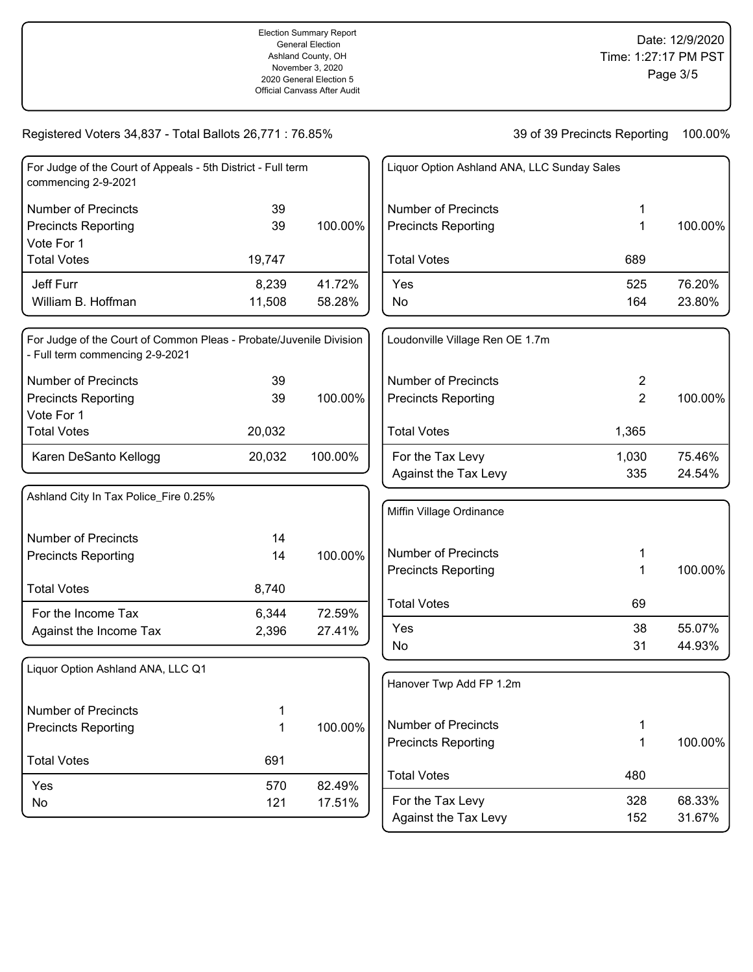| For Judge of the Court of Appeals - 5th District - Full term<br>commencing 2-9-2021 |        |         |
|-------------------------------------------------------------------------------------|--------|---------|
| Number of Precincts                                                                 | 39     |         |
| <b>Precincts Reporting</b>                                                          | 39     | 100.00% |
| Vote For 1                                                                          |        |         |
| <b>Total Votes</b>                                                                  | 19,747 |         |
| Jeff Furr                                                                           | 8.239  | 41.72%  |
| William B. Hoffman                                                                  | 11,508 | 58.28%  |

| For Judge of the Court of Common Pleas - Probate/Juvenile Division<br>- Full term commencing 2-9-2021 |        |         |
|-------------------------------------------------------------------------------------------------------|--------|---------|
| Number of Precincts                                                                                   | 39     |         |
| <b>Precincts Reporting</b>                                                                            | 39     | 100.00% |
| Vote For 1                                                                                            |        |         |
| <b>Total Votes</b>                                                                                    | 20,032 |         |
| Karen DeSanto Kellogg                                                                                 | 20,032 | 100.00% |

| 14    |         |
|-------|---------|
| 14    | 100.00% |
| 8,740 |         |
| 6,344 | 72.59%  |
| 2,396 | 27.41%  |
|       |         |

| Liquor Option Ashland ANA, LLC Q1 |     |         |
|-----------------------------------|-----|---------|
| Number of Precincts               | 1   |         |
| <b>Precincts Reporting</b>        | 1   | 100.00% |
| <b>Total Votes</b>                | 691 |         |
| Yes                               | 570 | 82.49%  |
| No                                | 121 | 17.51%  |

| Liquor Option Ashland ANA, LLC Sunday Sales       |            |                  |
|---------------------------------------------------|------------|------------------|
| Number of Precincts<br><b>Precincts Reporting</b> | 1<br>1     | 100.00%          |
| <b>Total Votes</b>                                | 689        |                  |
| Yes<br>No                                         | 525<br>164 | 76.20%<br>23.80% |

| Loudonville Village Ren OE 1.7m                   |              |                  |
|---------------------------------------------------|--------------|------------------|
| Number of Precincts<br><b>Precincts Reporting</b> | 2<br>2       | 100.00%          |
| <b>Total Votes</b>                                | 1,365        |                  |
| For the Tax Levy<br>Against the Tax Levy          | 1,030<br>335 | 75.46%<br>24.54% |

| Miffin Village Ordinance                                 |          |                  |
|----------------------------------------------------------|----------|------------------|
| <b>Number of Precincts</b><br><b>Precincts Reporting</b> | 1<br>1   | 100.00%          |
| <b>Total Votes</b>                                       | 69       |                  |
| Yes<br>No                                                | 38<br>31 | 55.07%<br>44.93% |

| Hanover Twp Add FP 1.2m                           |            |                  |
|---------------------------------------------------|------------|------------------|
| Number of Precincts<br><b>Precincts Reporting</b> | 1<br>1     | 100.00%          |
| <b>Total Votes</b>                                | 480        |                  |
| For the Tax Levy<br>Against the Tax Levy          | 328<br>152 | 68.33%<br>31.67% |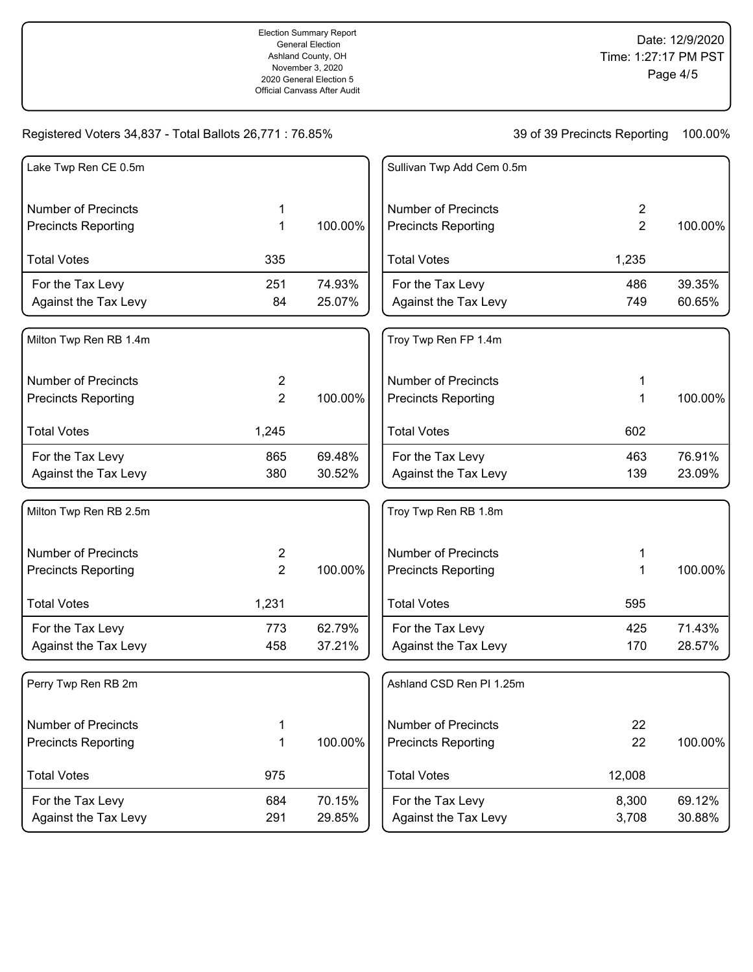Election Summary Report General Election Ashland County, OH November 3, 2020 2020 General Election 5 Official Canvass After Audit

Date: 12/9/2020 Time: 1:27:17 PM PST Page 4/5

# Registered Voters 34,837 - Total Ballots 26,771 : 76.85%

| Lake Twp Ren CE 0.5m       |                |         | Sullivan Twp Add Cem 0.5m  |                |         |
|----------------------------|----------------|---------|----------------------------|----------------|---------|
| <b>Number of Precincts</b> | 1              |         | <b>Number of Precincts</b> | $\overline{2}$ |         |
| <b>Precincts Reporting</b> | 1              | 100.00% | <b>Precincts Reporting</b> | $\overline{2}$ | 100.00% |
| <b>Total Votes</b>         | 335            |         | <b>Total Votes</b>         | 1,235          |         |
| For the Tax Levy           | 251            | 74.93%  | For the Tax Levy           | 486            | 39.35%  |
| Against the Tax Levy       | 84             | 25.07%  | Against the Tax Levy       | 749            | 60.65%  |
| Milton Twp Ren RB 1.4m     |                |         | Troy Twp Ren FP 1.4m       |                |         |
| <b>Number of Precincts</b> | $\overline{2}$ |         | <b>Number of Precincts</b> | 1              |         |
| <b>Precincts Reporting</b> | $\overline{2}$ | 100.00% | <b>Precincts Reporting</b> | 1              | 100.00% |
| <b>Total Votes</b>         | 1,245          |         | <b>Total Votes</b>         | 602            |         |
| For the Tax Levy           | 865            | 69.48%  | For the Tax Levy           | 463            | 76.91%  |
| Against the Tax Levy       | 380            | 30.52%  | Against the Tax Levy       | 139            | 23.09%  |
| Milton Twp Ren RB 2.5m     |                |         | Troy Twp Ren RB 1.8m       |                |         |
| <b>Number of Precincts</b> | $\overline{c}$ |         | <b>Number of Precincts</b> | 1              |         |
| <b>Precincts Reporting</b> | $\overline{2}$ | 100.00% | <b>Precincts Reporting</b> | 1              | 100.00% |
| <b>Total Votes</b>         | 1,231          |         | <b>Total Votes</b>         | 595            |         |
| For the Tax Levy           | 773            | 62.79%  | For the Tax Levy           | 425            | 71.43%  |
| Against the Tax Levy       | 458            | 37.21%  | Against the Tax Levy       | 170            | 28.57%  |
| Perry Twp Ren RB 2m        |                |         | Ashland CSD Ren PI 1.25m   |                |         |
| <b>Number of Precincts</b> | 1              |         | <b>Number of Precincts</b> | 22             |         |
| <b>Precincts Reporting</b> | 1              | 100.00% | <b>Precincts Reporting</b> | 22             | 100.00% |
| <b>Total Votes</b>         | 975            |         | <b>Total Votes</b>         | 12,008         |         |
| For the Tax Levy           | 684            | 70.15%  | For the Tax Levy           | 8,300          | 69.12%  |
| Against the Tax Levy       | 291            | 29.85%  | Against the Tax Levy       | 3,708          | 30.88%  |